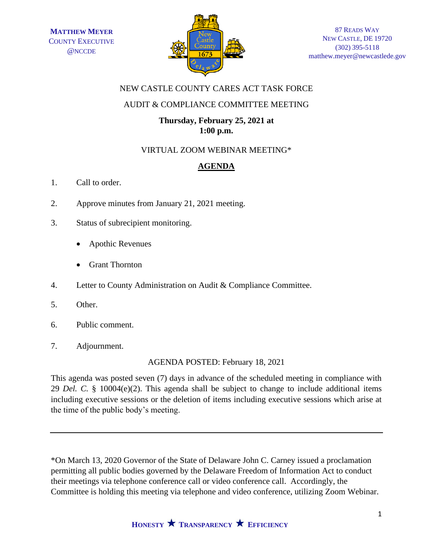

### NEW CASTLE COUNTY CARES ACT TASK FORCE

#### AUDIT & COMPLIANCE COMMITTEE MEETING

#### **Thursday, February 25, 2021 at 1:00 p.m.**

## VIRTUAL ZOOM WEBINAR MEETING\*

# **AGENDA**

- 1. Call to order.
- 2. Approve minutes from January 21, 2021 meeting.
- 3. Status of subrecipient monitoring.
	- Apothic Revenues
	- Grant Thornton
- 4. Letter to County Administration on Audit & Compliance Committee.
- 5. Other.
- 6. Public comment.
- 7. Adjournment.

AGENDA POSTED: February 18, 2021

This agenda was posted seven (7) days in advance of the scheduled meeting in compliance with 29 *Del. C.* § 10004(e)(2). This agenda shall be subject to change to include additional items including executive sessions or the deletion of items including executive sessions which arise at the time of the public body's meeting.

\*On March 13, 2020 Governor of the State of Delaware John C. Carney issued a proclamation permitting all public bodies governed by the Delaware Freedom of Information Act to conduct their meetings via telephone conference call or video conference call. Accordingly, the Committee is holding this meeting via telephone and video conference, utilizing Zoom Webinar.